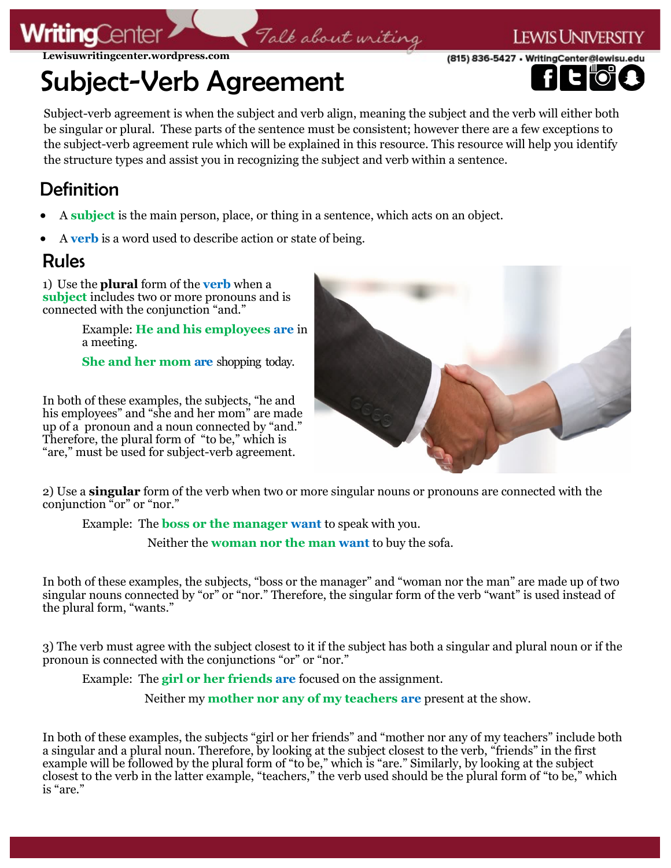## **ritina**Cer

**Lewisuwritingcenter.wordpress.com**

# Subject-Verb Agreement

Subject-verb agreement is when the subject and verb align, meaning the subject and the verb will either both be singular or plural. These parts of the sentence must be consistent; however there are a few exceptions to the subject-verb agreement rule which will be explained in this resource. This resource will help you identify the structure types and assist you in recognizing the subject and verb within a sentence.

Talk about writing

#### Definition

- A **subject** is the main person, place, or thing in a sentence, which acts on an object.
- A **verb** is a word used to describe action or state of being.

#### Rules

1) Use the **plural** form of the **verb** when a **subject** includes two or more pronouns and is connected with the conjunction "and."

> Example: **He and his employees are** in a meeting.

**She and her mom are** shopping today.

In both of these examples, the subjects, "he and his employees" and "she and her mom" are made up of a pronoun and a noun connected by "and." Therefore, the plural form of "to be," which is "are," must be used for subject-verb agreement.



I ewis Universi

(815) 836-5427 · WritingCenter@lewisu.

2) Use a **singular** form of the verb when two or more singular nouns or pronouns are connected with the conjunction "or" or "nor."

Example: The **boss or the manager want** to speak with you.

Neither the **woman nor the man want** to buy the sofa.

In both of these examples, the subjects, "boss or the manager" and "woman nor the man" are made up of two singular nouns connected by "or" or "nor." Therefore, the singular form of the verb "want" is used instead of the plural form, "wants."

3) The verb must agree with the subject closest to it if the subject has both a singular and plural noun or if the pronoun is connected with the conjunctions "or" or "nor."

Example: The **girl or her friends are** focused on the assignment.

Neither my **mother nor any of my teachers are** present at the show.

In both of these examples, the subjects "girl or her friends" and "mother nor any of my teachers" include both a singular and a plural noun. Therefore, by looking at the subject closest to the verb, "friends" in the first example will be followed by the plural form of "to be," which is "are." Similarly, by looking at the subject closest to the verb in the latter example, "teachers," the verb used should be the plural form of "to be," which is "are."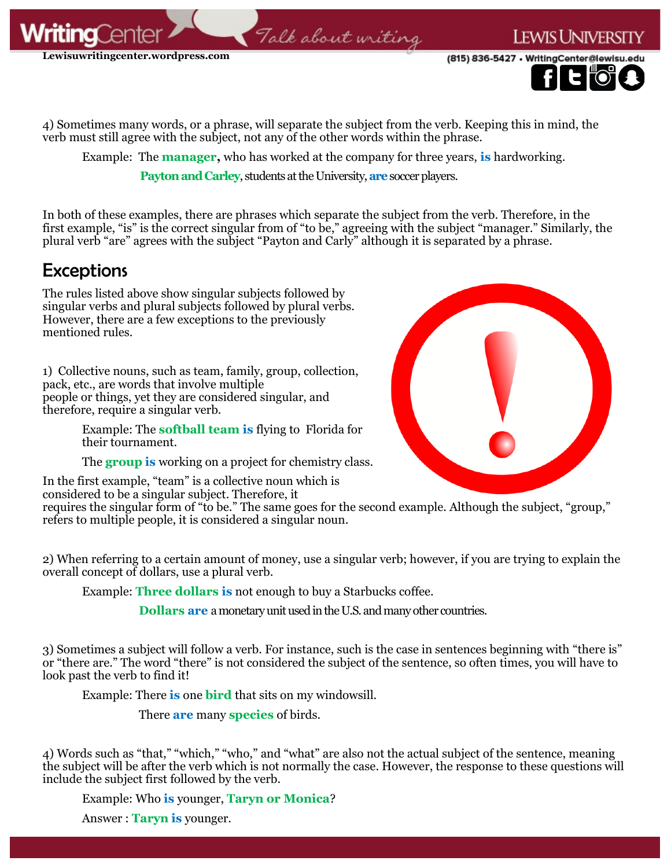

(815) 836-5427 · WritingCenter@lewisu

**EWIS UNIVER** 



4) Sometimes many words, or a phrase, will separate the subject from the verb. Keeping this in mind, the verb must still agree with the subject, not any of the other words within the phrase.

Talk about uriting

Example: The **manager,** who has worked at the company for three years, **is** hardworking.

**Payton and Carley**, students at the University, **are** soccer players.

In both of these examples, there are phrases which separate the subject from the verb. Therefore, in the first example, "is" is the correct singular from of "to be," agreeing with the subject "manager." Similarly, the plural verb "are" agrees with the subject "Payton and Carly" although it is separated by a phrase.

#### **Exceptions**

The rules listed above show singular subjects followed by singular verbs and plural subjects followed by plural verbs. However, there are a few exceptions to the previously mentioned rules.

1) Collective nouns, such as team, family, group, collection, pack, etc., are words that involve multiple people or things, yet they are considered singular, and therefore, require a singular verb.

> Example: The **softball team is** flying to Florida for their tournament.

The **group is** working on a project for chemistry class.

In the first example, "team" is a collective noun which is considered to be a singular subject. Therefore, it



requires the singular form of "to be." The same goes for the second example. Although the subject, "group," refers to multiple people, it is considered a singular noun.

2) When referring to a certain amount of money, use a singular verb; however, if you are trying to explain the overall concept of dollars, use a plural verb.

Example: **Three dollars is** not enough to buy a Starbucks coffee.

**Dollars are** a monetary unit used in the U.S. and many other countries.

3) Sometimes a subject will follow a verb. For instance, such is the case in sentences beginning with "there is" or "there are." The word "there" is not considered the subject of the sentence, so often times, you will have to look past the verb to find it!

Example: There **is** one **bird** that sits on my windowsill.

There **are** many **species** of birds.

4) Words such as "that," "which," "who," and "what" are also not the actual subject of the sentence, meaning the subject will be after the verb which is not normally the case. However, the response to these questions will include the subject first followed by the verb.

Example: Who **is** younger, **Taryn or Monica**?

Answer : **Taryn is** younger.